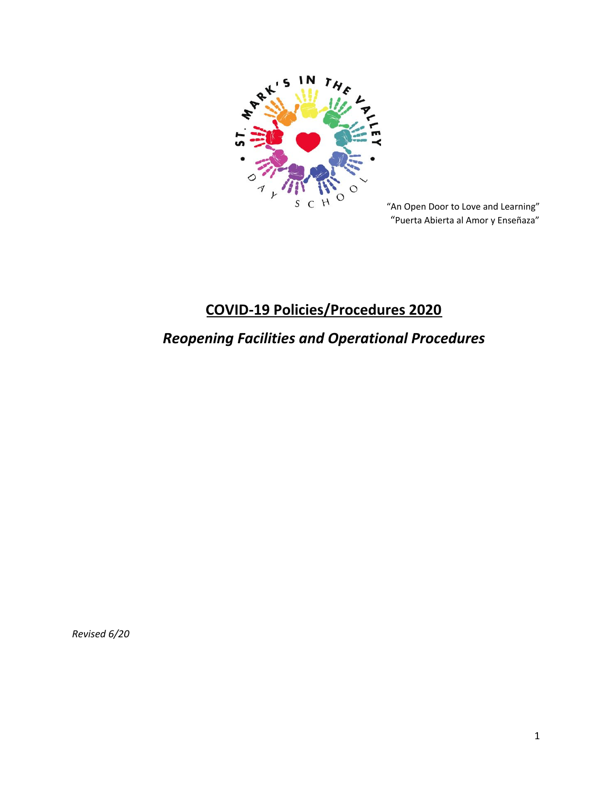

"An Open Door to Love and Learning" "Puerta Abierta al Amor y Enseñaza"

# **COVID-19 Policies/Procedures 2020**

# *Reopening Facilities and Operational Procedures*

*Revised 6/20*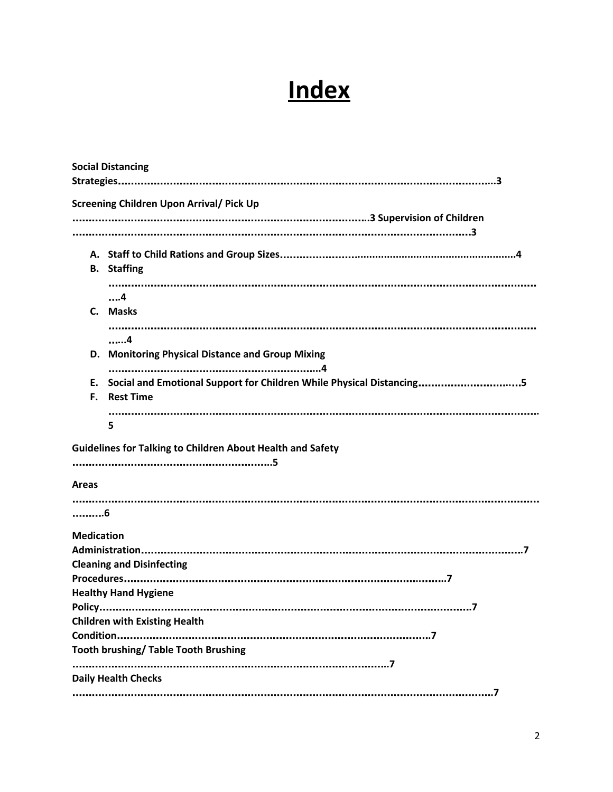# **Index**

| <b>Social Distancing</b> |                                                                      |  |
|--------------------------|----------------------------------------------------------------------|--|
|                          |                                                                      |  |
|                          |                                                                      |  |
|                          |                                                                      |  |
|                          |                                                                      |  |
|                          | <b>B.</b> Staffing                                                   |  |
|                          |                                                                      |  |
|                          | . 4                                                                  |  |
|                          | C. Masks                                                             |  |
|                          |                                                                      |  |
|                          | . 4                                                                  |  |
|                          | D. Monitoring Physical Distance and Group Mixing                     |  |
| Е.                       | Social and Emotional Support for Children While Physical Distancing5 |  |
| F.                       | <b>Rest Time</b>                                                     |  |
|                          |                                                                      |  |
|                          | 5                                                                    |  |
|                          | <b>Guidelines for Talking to Children About Health and Safety</b>    |  |
|                          |                                                                      |  |
|                          |                                                                      |  |
| <b>Areas</b>             |                                                                      |  |
|                          |                                                                      |  |
| . 6                      |                                                                      |  |
| <b>Medication</b>        |                                                                      |  |
|                          |                                                                      |  |
|                          | <b>Cleaning and Disinfecting</b>                                     |  |
|                          |                                                                      |  |
|                          | <b>Healthy Hand Hygiene</b>                                          |  |
|                          |                                                                      |  |
|                          | <b>Children with Existing Health</b>                                 |  |
|                          | <b>Tooth brushing/ Table Tooth Brushing</b>                          |  |
|                          |                                                                      |  |
|                          | <b>Daily Health Checks</b>                                           |  |
|                          |                                                                      |  |
|                          |                                                                      |  |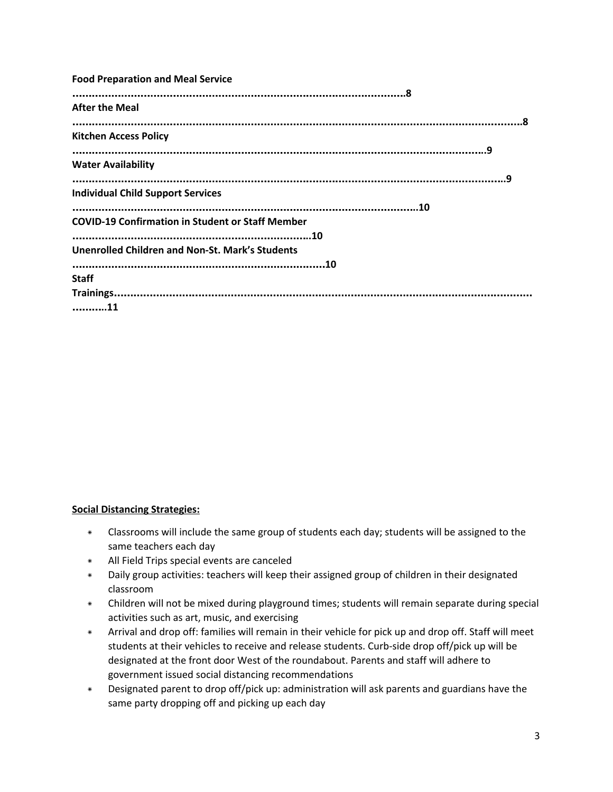| <b>Food Preparation and Meal Service</b>                |
|---------------------------------------------------------|
| <b>After the Meal</b>                                   |
| <b>Kitchen Access Policy</b>                            |
| <b>Water Availability</b>                               |
| <b>Individual Child Support Services</b>                |
| <b>COVID-19 Confirmation in Student or Staff Member</b> |
| <b>Unenrolled Children and Non-St. Mark's Students</b>  |
| <b>Staff</b>                                            |
| 11                                                      |

#### **Social Distancing Strategies:**

- \* Classrooms will include the same group of students each day; students will be assigned to the same teachers each day
- \* All Field Trips special events are canceled
- \* Daily group activities: teachers will keep their assigned group of children in their designated classroom
- \* Children will not be mixed during playground times; students will remain separate during special activities such as art, music, and exercising
- \* Arrival and drop off: families will remain in their vehicle for pick up and drop off. Staff will meet students at their vehicles to receive and release students. Curb-side drop off/pick up will be designated at the front door West of the roundabout. Parents and staff will adhere to government issued social distancing recommendations
- \* Designated parent to drop off/pick up: administration will ask parents and guardians have the same party dropping off and picking up each day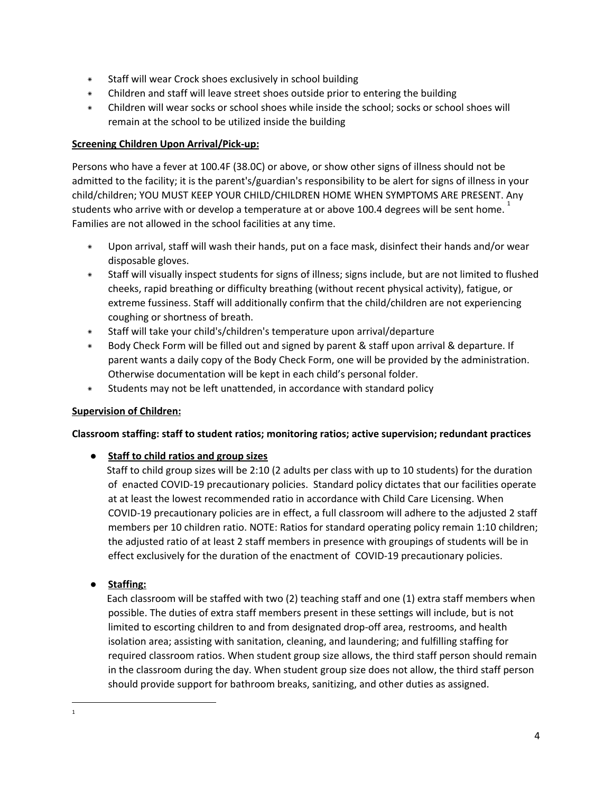- \* Staff will wear Crock shoes exclusively in school building
- \* Children and staff will leave street shoes outside prior to entering the building
- \* Children will wear socks or school shoes while inside the school; socks or school shoes will remain at the school to be utilized inside the building

#### **Screening Children Upon Arrival/Pick-up:**

Persons who have a fever at 100.4F (38.0C) or above, or show other signs of illness should not be admitted to the facility; it is the parent's/guardian's responsibility to be alert for signs of illness in your child/children; YOU MUST KEEP YOUR CHILD/CHILDREN HOME WHEN SYMPTOMS ARE PRESENT. Any students who arrive with or develop a temperature at or above 100.4 degrees will be sent home.  $^{\rm 1}$ Families are not allowed in the school facilities at any time.

- Upon arrival, staff will wash their hands, put on a face mask, disinfect their hands and/or wear disposable gloves.
- \* Staff will visually inspect students for signs of illness; signs include, but are not limited to flushed cheeks, rapid breathing or difficulty breathing (without recent physical activity), fatigue, or extreme fussiness. Staff will additionally confirm that the child/children are not experiencing coughing or shortness of breath.
- \* Staff will take your child's/children's temperature upon arrival/departure
- \* Body Check Form will be filled out and signed by parent & staff upon arrival & departure. If parent wants a daily copy of the Body Check Form, one will be provided by the administration. Otherwise documentation will be kept in each child's personal folder.
- \* Students may not be left unattended, in accordance with standard policy

#### **Supervision of Children:**

#### **Classroom staffing: staff to student ratios; monitoring ratios; active supervision; redundant practices**

#### **● Staff to child ratios and group sizes**

Staff to child group sizes will be 2:10 (2 adults per class with up to 10 students) for the duration of enacted COVID-19 precautionary policies. Standard policy dictates that our facilities operate at at least the lowest recommended ratio in accordance with Child Care Licensing. When COVID-19 precautionary policies are in effect, a full classroom will adhere to the adjusted 2 staff members per 10 children ratio. NOTE: Ratios for standard operating policy remain 1:10 children; the adjusted ratio of at least 2 staff members in presence with groupings of students will be in effect exclusively for the duration of the enactment of COVID-19 precautionary policies.

#### **● Staffing:**

Each classroom will be staffed with two (2) teaching staff and one (1) extra staff members when possible. The duties of extra staff members present in these settings will include, but is not limited to escorting children to and from designated drop-off area, restrooms, and health isolation area; assisting with sanitation, cleaning, and laundering; and fulfilling staffing for required classroom ratios. When student group size allows, the third staff person should remain in the classroom during the day. When student group size does not allow, the third staff person should provide support for bathroom breaks, sanitizing, and other duties as assigned.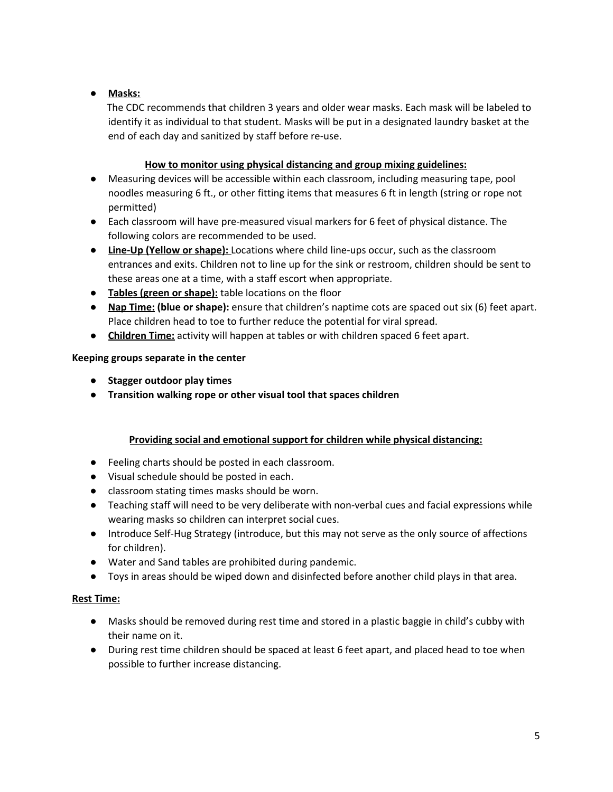# ● **Masks:**

The CDC recommends that children 3 years and older wear masks. Each mask will be labeled to identify it as individual to that student. Masks will be put in a designated laundry basket at the end of each day and sanitized by staff before re-use.

## **How to monitor using physical distancing and group mixing guidelines:**

- Measuring devices will be accessible within each classroom, including measuring tape, pool noodles measuring 6 ft., or other fitting items that measures 6 ft in length (string or rope not permitted)
- Each classroom will have pre-measured visual markers for 6 feet of physical distance. The following colors are recommended to be used.
- **Line-Up (Yellow or shape):** Locations where child line-ups occur, such as the classroom entrances and exits. Children not to line up for the sink or restroom, children should be sent to these areas one at a time, with a staff escort when appropriate.
- **Tables (green or shape):** table locations on the floor
- **Nap Time: (blue or shape):** ensure that children's naptime cots are spaced out six (6) feet apart. Place children head to toe to further reduce the potential for viral spread.
- **Children Time:** activity will happen at tables or with children spaced 6 feet apart.

# **Keeping groups separate in the center**

- **● Stagger outdoor play times**
- **● Transition walking rope or other visual tool that spaces children**

# **Providing social and emotional support for children while physical distancing:**

- Feeling charts should be posted in each classroom.
- Visual schedule should be posted in each.
- classroom stating times masks should be worn.
- Teaching staff will need to be very deliberate with non-verbal cues and facial expressions while wearing masks so children can interpret social cues.
- Introduce Self-Hug Strategy (introduce, but this may not serve as the only source of affections for children).
- Water and Sand tables are prohibited during pandemic.
- Toys in areas should be wiped down and disinfected before another child plays in that area.

#### **Rest Time:**

- Masks should be removed during rest time and stored in a plastic baggie in child's cubby with their name on it.
- During rest time children should be spaced at least 6 feet apart, and placed head to toe when possible to further increase distancing.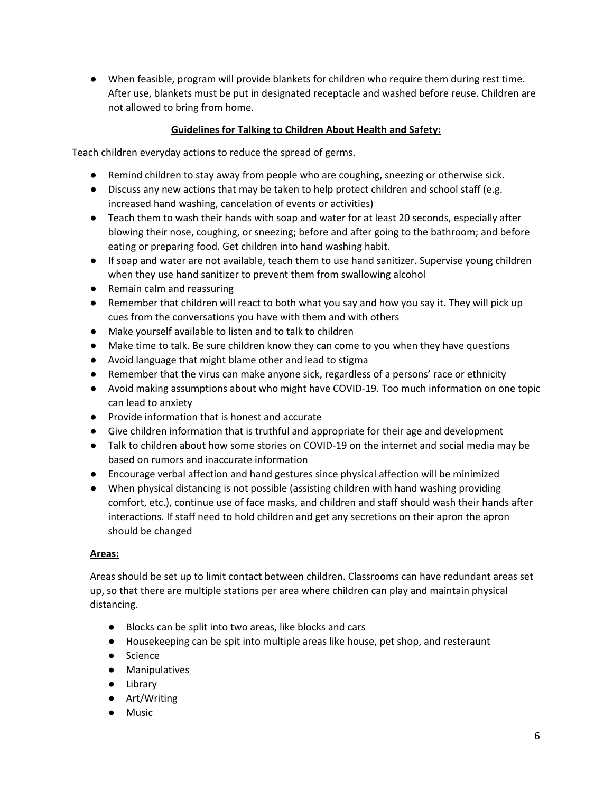● When feasible, program will provide blankets for children who require them during rest time. After use, blankets must be put in designated receptacle and washed before reuse. Children are not allowed to bring from home.

#### **Guidelines for Talking to Children About Health and Safety:**

Teach children everyday actions to reduce the spread of germs.

- Remind children to stay away from people who are coughing, sneezing or otherwise sick.
- Discuss any new actions that may be taken to help protect children and school staff (e.g. increased hand washing, cancelation of events or activities)
- Teach them to wash their hands with soap and water for at least 20 seconds, especially after blowing their nose, coughing, or sneezing; before and after going to the bathroom; and before eating or preparing food. Get children into hand washing habit.
- If soap and water are not available, teach them to use hand sanitizer. Supervise young children when they use hand sanitizer to prevent them from swallowing alcohol
- Remain calm and reassuring
- Remember that children will react to both what you say and how you say it. They will pick up cues from the conversations you have with them and with others
- Make yourself available to listen and to talk to children
- Make time to talk. Be sure children know they can come to you when they have questions
- Avoid language that might blame other and lead to stigma
- Remember that the virus can make anyone sick, regardless of a persons' race or ethnicity
- Avoid making assumptions about who might have COVID-19. Too much information on one topic can lead to anxiety
- Provide information that is honest and accurate
- Give children information that is truthful and appropriate for their age and development
- Talk to children about how some stories on COVID-19 on the internet and social media may be based on rumors and inaccurate information
- Encourage verbal affection and hand gestures since physical affection will be minimized
- When physical distancing is not possible (assisting children with hand washing providing comfort, etc.), continue use of face masks, and children and staff should wash their hands after interactions. If staff need to hold children and get any secretions on their apron the apron should be changed

#### **Areas:**

Areas should be set up to limit contact between children. Classrooms can have redundant areas set up, so that there are multiple stations per area where children can play and maintain physical distancing.

- Blocks can be split into two areas, like blocks and cars
- Housekeeping can be spit into multiple areas like house, pet shop, and resteraunt
- Science
- Manipulatives
- Library
- Art/Writing
- Music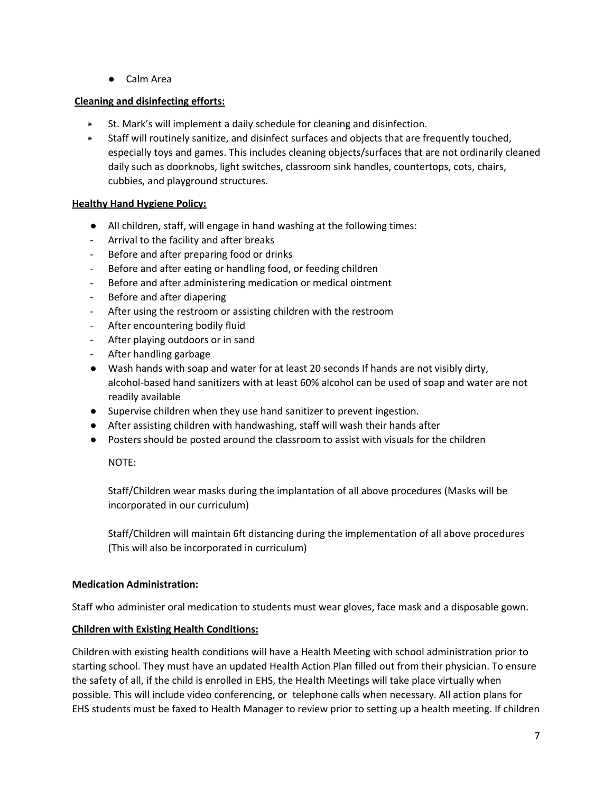● Calm Area

#### **Cleaning and disinfecting efforts:**

- St. Mark's will implement a daily schedule for cleaning and disinfection.
- \* Staff will routinely sanitize, and disinfect surfaces and objects that are frequently touched, especially toys and games. This includes cleaning objects/surfaces that are not ordinarily cleaned daily such as doorknobs, light switches, classroom sink handles, countertops, cots, chairs, cubbies, and playground structures.

## **Healthy Hand Hygiene Policy:**

- All children, staff, will engage in hand washing at the following times:
- Arrival to the facility and after breaks
- Before and after preparing food or drinks
- Before and after eating or handling food, or feeding children
- Before and after administering medication or medical ointment
- Before and after diapering
- After using the restroom or assisting children with the restroom
- After encountering bodily fluid
- After playing outdoors or in sand
- After handling garbage
- Wash hands with soap and water for at least 20 seconds If hands are not visibly dirty, alcohol-based hand sanitizers with at least 60% alcohol can be used of soap and water are not readily available
- Supervise children when they use hand sanitizer to prevent ingestion.
- After assisting children with handwashing, staff will wash their hands after
- Posters should be posted around the classroom to assist with visuals for the children

#### NOTE:

Staff/Children wear masks during the implantation of all above procedures (Masks will be incorporated in our curriculum)

Staff/Children will maintain 6ft distancing during the implementation of all above procedures (This will also be incorporated in curriculum)

#### **Medication Administration:**

Staff who administer oral medication to students must wear gloves, face mask and a disposable gown.

#### **Children with Existing Health Conditions:**

Children with existing health conditions will have a Health Meeting with school administration prior to starting school. They must have an updated Health Action Plan filled out from their physician. To ensure the safety of all, if the child is enrolled in EHS, the Health Meetings will take place virtually when possible. This will include video conferencing, or telephone calls when necessary. All action plans for EHS students must be faxed to Health Manager to review prior to setting up a health meeting. If children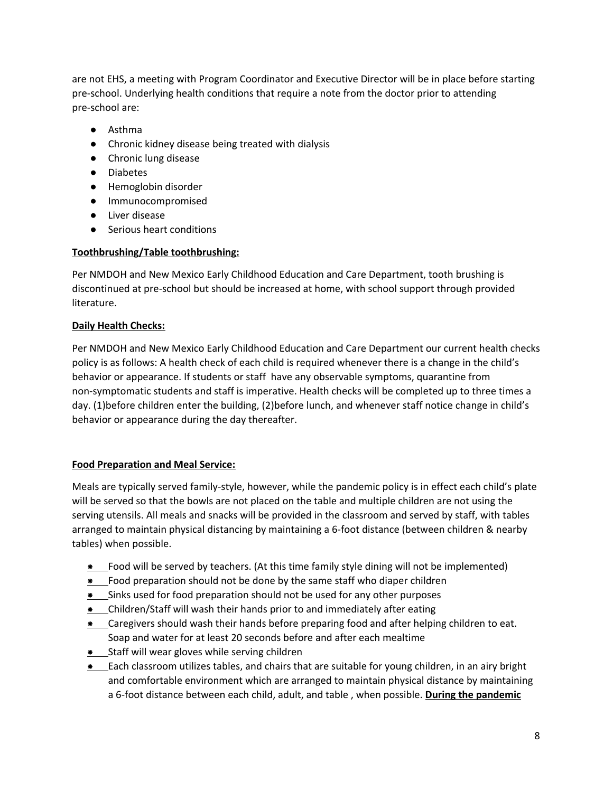are not EHS, a meeting with Program Coordinator and Executive Director will be in place before starting pre-school. Underlying health conditions that require a note from the doctor prior to attending pre-school are:

- Asthma
- Chronic kidney disease being treated with dialysis
- Chronic lung disease
- Diabetes
- Hemoglobin disorder
- Immunocompromised
- Liver disease
- Serious heart conditions

#### **Toothbrushing/Table toothbrushing:**

Per NMDOH and New Mexico Early Childhood Education and Care Department, tooth brushing is discontinued at pre-school but should be increased at home, with school support through provided literature.

#### **Daily Health Checks:**

Per NMDOH and New Mexico Early Childhood Education and Care Department our current health checks policy is as follows: A health check of each child is required whenever there is a change in the child's behavior or appearance. If students or staff have any observable symptoms, quarantine from non-symptomatic students and staff is imperative. Health checks will be completed up to three times a day. (1)before children enter the building, (2)before lunch, and whenever staff notice change in child's behavior or appearance during the day thereafter.

#### **Food Preparation and Meal Service:**

Meals are typically served family-style, however, while the pandemic policy is in effect each child's plate will be served so that the bowls are not placed on the table and multiple children are not using the serving utensils. All meals and snacks will be provided in the classroom and served by staff, with tables arranged to maintain physical distancing by maintaining a 6-foot distance (between children & nearby tables) when possible.

- \* Food will be served by teachers. (At this time family style dining will not be implemented)
- \* Food preparation should not be done by the same staff who diaper children
- \* Sinks used for food preparation should not be used for any other purposes
- \* Children/Staff will wash their hands prior to and immediately after eating
- \* Caregivers should wash their hands before preparing food and after helping children to eat. Soap and water for at least 20 seconds before and after each mealtime
- \* Staff will wear gloves while serving children
- \* Each classroom utilizes tables, and chairs that are suitable for young children, in an airy bright and comfortable environment which are arranged to maintain physical distance by maintaining a 6-foot distance between each child, adult, and table , when possible. **During the pandemic**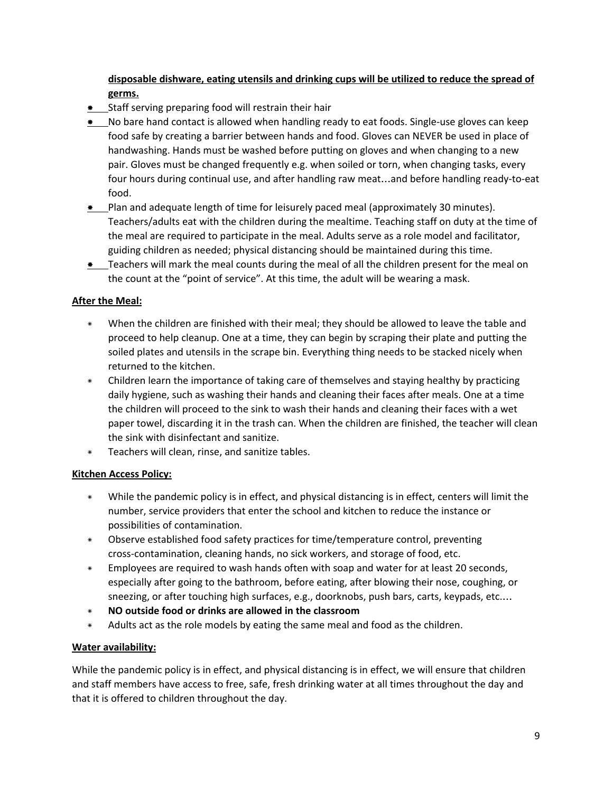# **disposable dishware, eating utensils and drinking cups will be utilized to reduce the spread of germs.**

- \* Staff serving preparing food will restrain their hair
- \* No bare hand contact is allowed when handling ready to eat foods. Single-use gloves can keep food safe by creating a barrier between hands and food. Gloves can NEVER be used in place of handwashing. Hands must be washed before putting on gloves and when changing to a new pair. Gloves must be changed frequently e.g. when soiled or torn, when changing tasks, every four hours during continual use, and after handling raw meat…and before handling ready-to-eat food.
- \* Plan and adequate length of time for leisurely paced meal (approximately 30 minutes). Teachers/adults eat with the children during the mealtime. Teaching staff on duty at the time of the meal are required to participate in the meal. Adults serve as a role model and facilitator, guiding children as needed; physical distancing should be maintained during this time.
- \* Teachers will mark the meal counts during the meal of all the children present for the meal on the count at the "point of service". At this time, the adult will be wearing a mask.

#### **After the Meal:**

- \* When the children are finished with their meal; they should be allowed to leave the table and proceed to help cleanup. One at a time, they can begin by scraping their plate and putting the soiled plates and utensils in the scrape bin. Everything thing needs to be stacked nicely when returned to the kitchen.
- \* Children learn the importance of taking care of themselves and staying healthy by practicing daily hygiene, such as washing their hands and cleaning their faces after meals. One at a time the children will proceed to the sink to wash their hands and cleaning their faces with a wet paper towel, discarding it in the trash can. When the children are finished, the teacher will clean the sink with disinfectant and sanitize.
- \* Teachers will clean, rinse, and sanitize tables.

#### **Kitchen Access Policy:**

- \* While the pandemic policy is in effect, and physical distancing is in effect, centers will limit the number, service providers that enter the school and kitchen to reduce the instance or possibilities of contamination.
- \* Observe established food safety practices for time/temperature control, preventing cross-contamination, cleaning hands, no sick workers, and storage of food, etc.
- \* Employees are required to wash hands often with soap and water for at least 20 seconds, especially after going to the bathroom, before eating, after blowing their nose, coughing, or sneezing, or after touching high surfaces, e.g., doorknobs, push bars, carts, keypads, etc.…
- \* **NO outside food or drinks are allowed in the classroom**
- \* Adults act as the role models by eating the same meal and food as the children.

#### **Water availability:**

While the pandemic policy is in effect, and physical distancing is in effect, we will ensure that children and staff members have access to free, safe, fresh drinking water at all times throughout the day and that it is offered to children throughout the day.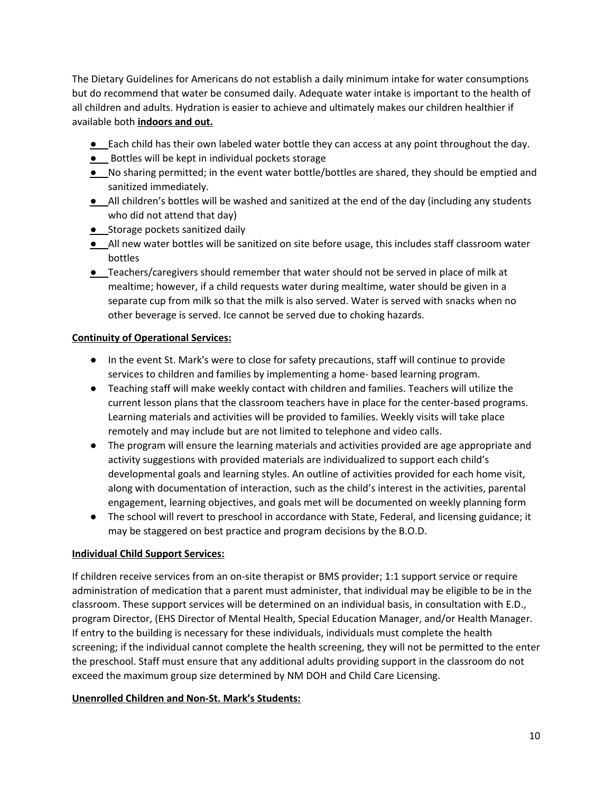The Dietary Guidelines for Americans do not establish a daily minimum intake for water consumptions but do recommend that water be consumed daily. Adequate water intake is important to the health of all children and adults. Hydration is easier to achieve and ultimately makes our children healthier if available both **indoors and out.**

- **●** Each child has their own labeled water bottle they can access at any point throughout the day.
- **•** Bottles will be kept in individual pockets storage
- **●** No sharing permitted; in the event water bottle/bottles are shared, they should be emptied and sanitized immediately.
- **●** All children's bottles will be washed and sanitized at the end of the day (including any students who did not attend that day)
- **•** Storage pockets sanitized daily
- **●** All new water bottles will be sanitized on site before usage, this includes staff classroom water bottles
- **●** Teachers/caregivers should remember that water should not be served in place of milk at mealtime; however, if a child requests water during mealtime, water should be given in a separate cup from milk so that the milk is also served. Water is served with snacks when no other beverage is served. Ice cannot be served due to choking hazards.

#### **Continuity of Operational Services:**

- In the event St. Mark's were to close for safety precautions, staff will continue to provide services to children and families by implementing a home- based learning program.
- Teaching staff will make weekly contact with children and families. Teachers will utilize the current lesson plans that the classroom teachers have in place for the center-based programs. Learning materials and activities will be provided to families. Weekly visits will take place remotely and may include but are not limited to telephone and video calls.
- The program will ensure the learning materials and activities provided are age appropriate and activity suggestions with provided materials are individualized to support each child's developmental goals and learning styles. An outline of activities provided for each home visit, along with documentation of interaction, such as the child's interest in the activities, parental engagement, learning objectives, and goals met will be documented on weekly planning form
- The school will revert to preschool in accordance with State, Federal, and licensing guidance; it may be staggered on best practice and program decisions by the B.O.D.

#### **Individual Child Support Services:**

If children receive services from an on-site therapist or BMS provider; 1:1 support service or require administration of medication that a parent must administer, that individual may be eligible to be in the classroom. These support services will be determined on an individual basis, in consultation with E.D., program Director, (EHS Director of Mental Health, Special Education Manager, and/or Health Manager. If entry to the building is necessary for these individuals, individuals must complete the health screening; if the individual cannot complete the health screening, they will not be permitted to the enter the preschool. Staff must ensure that any additional adults providing support in the classroom do not exceed the maximum group size determined by NM DOH and Child Care Licensing.

#### **Unenrolled Children and Non-St. Mark's Students:**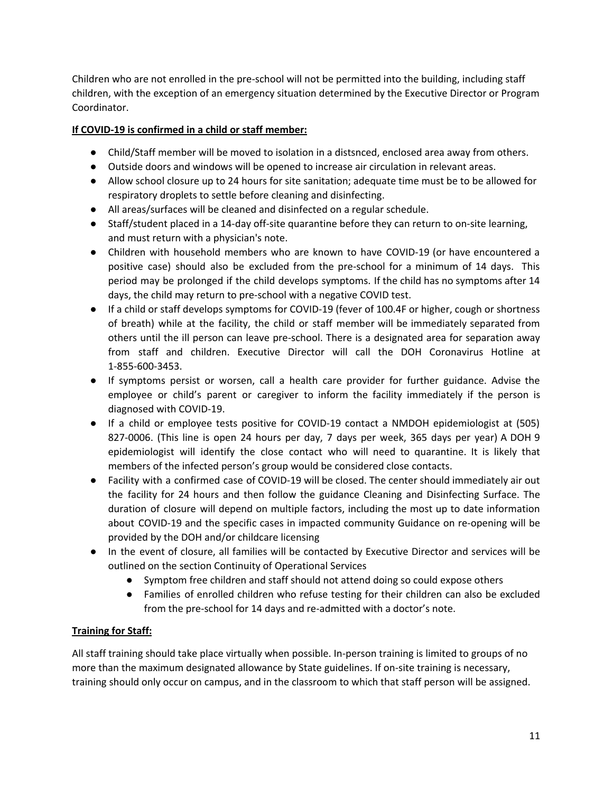Children who are not enrolled in the pre-school will not be permitted into the building, including staff children, with the exception of an emergency situation determined by the Executive Director or Program Coordinator.

## **If COVID-19 is confirmed in a child or staff member:**

- Child/Staff member will be moved to isolation in a distsnced, enclosed area away from others.
- Outside doors and windows will be opened to increase air circulation in relevant areas.
- Allow school closure up to 24 hours for site sanitation; adequate time must be to be allowed for respiratory droplets to settle before cleaning and disinfecting.
- All areas/surfaces will be cleaned and disinfected on a regular schedule.
- Staff/student placed in a 14-day off-site quarantine before they can return to on-site learning, and must return with a physician's note.
- Children with household members who are known to have COVID-19 (or have encountered a positive case) should also be excluded from the pre-school for a minimum of 14 days. This period may be prolonged if the child develops symptoms. If the child has no symptoms after 14 days, the child may return to pre-school with a negative COVID test.
- If a child or staff develops symptoms for COVID-19 (fever of 100.4F or higher, cough or shortness of breath) while at the facility, the child or staff member will be immediately separated from others until the ill person can leave pre-school. There is a designated area for separation away from staff and children. Executive Director will call the DOH Coronavirus Hotline at 1-855-600-3453.
- If symptoms persist or worsen, call a health care provider for further guidance. Advise the employee or child's parent or caregiver to inform the facility immediately if the person is diagnosed with COVID-19.
- If a child or employee tests positive for COVID-19 contact a NMDOH epidemiologist at (505) 827-0006. (This line is open 24 hours per day, 7 days per week, 365 days per year) A DOH 9 epidemiologist will identify the close contact who will need to quarantine. It is likely that members of the infected person's group would be considered close contacts.
- Facility with a confirmed case of COVID-19 will be closed. The center should immediately air out the facility for 24 hours and then follow the guidance Cleaning and Disinfecting Surface. The duration of closure will depend on multiple factors, including the most up to date information about COVID-19 and the specific cases in impacted community Guidance on re-opening will be provided by the DOH and/or childcare licensing
- In the event of closure, all families will be contacted by Executive Director and services will be outlined on the section Continuity of Operational Services
	- Symptom free children and staff should not attend doing so could expose others
	- Families of enrolled children who refuse testing for their children can also be excluded from the pre-school for 14 days and re-admitted with a doctor's note.

#### **Training for Staff:**

All staff training should take place virtually when possible. In-person training is limited to groups of no more than the maximum designated allowance by State guidelines. If on-site training is necessary, training should only occur on campus, and in the classroom to which that staff person will be assigned.